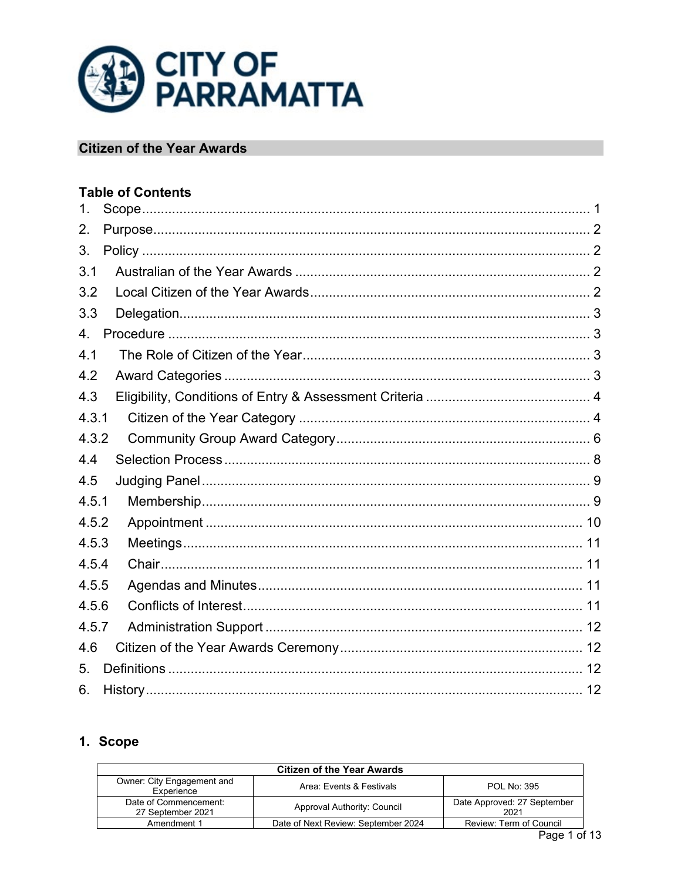

# **Citizen of the Year Awards**

# **Table of Contents**

| $\mathbf 1$ .  |  |
|----------------|--|
| 2.             |  |
| 3.             |  |
| 3.1            |  |
| 3.2            |  |
| 3.3            |  |
| $\overline{4}$ |  |
| 4.1            |  |
| 4.2            |  |
| 4.3            |  |
| 4.3.1          |  |
| 4.3.2          |  |
| 4.4            |  |
| 4.5            |  |
| 4.5.1          |  |
| 4.5.2          |  |
| 4.5.3          |  |
| 4.5.4          |  |
| 4.5.5          |  |
| 4.5.6          |  |
| 4.5.7          |  |
| 4.6            |  |
| 5.             |  |
| 6.             |  |

# <span id="page-0-0"></span>1. Scope

| <b>Citizen of the Year Awards</b>          |                                     |                                     |
|--------------------------------------------|-------------------------------------|-------------------------------------|
| Owner: City Engagement and<br>Experience   | Area: Events & Festivals            | POL No: 395                         |
| Date of Commencement:<br>27 September 2021 | Approval Authority: Council         | Date Approved: 27 September<br>2021 |
| Amendment 1                                | Date of Next Review: September 2024 | Review: Term of Council             |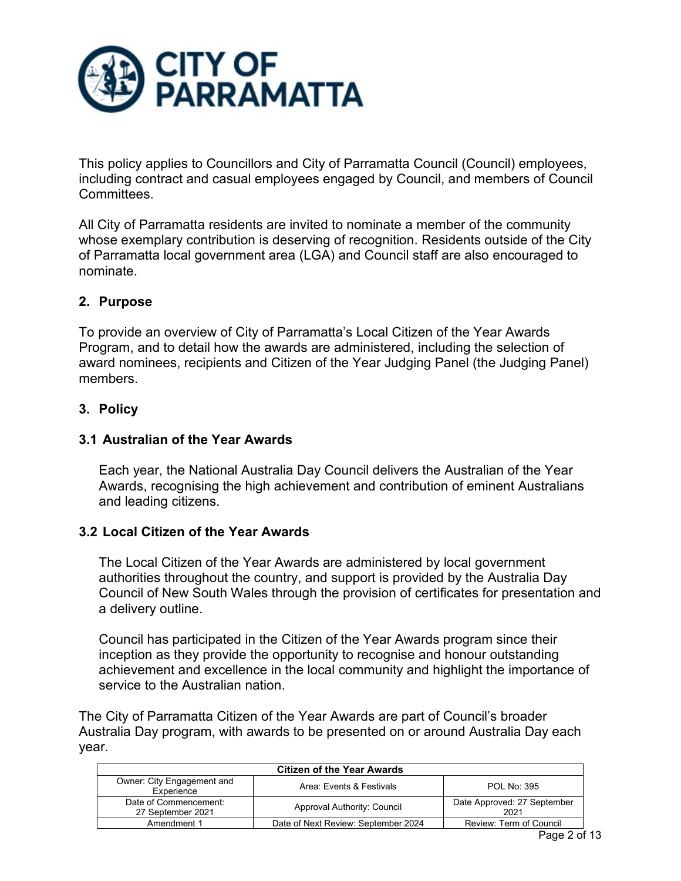

This policy applies to Councillors and City of Parramatta Council (Council) employees, including contract and casual employees engaged by Council, and members of Council Committees.

All City of Parramatta residents are invited to nominate a member of the community whose exemplary contribution is deserving of recognition. Residents outside of the City of Parramatta local government area (LGA) and Council staff are also encouraged to nominate.

# <span id="page-1-0"></span>**2. Purpose**

To provide an overview of City of Parramatta's Local Citizen of the Year Awards Program, and to detail how the awards are administered, including the selection of award nominees, recipients and Citizen of the Year Judging Panel (the Judging Panel) members.

## <span id="page-1-1"></span>**3. Policy**

# <span id="page-1-2"></span>**3.1 Australian of the Year Awards**

Each year, the National Australia Day Council delivers the Australian of the Year Awards, recognising the high achievement and contribution of eminent Australians and leading citizens.

## <span id="page-1-3"></span>**3.2 Local Citizen of the Year Awards**

The Local Citizen of the Year Awards are administered by local government authorities throughout the country, and support is provided by the Australia Day Council of New South Wales through the provision of certificates for presentation and a delivery outline.

Council has participated in the Citizen of the Year Awards program since their inception as they provide the opportunity to recognise and honour outstanding achievement and excellence in the local community and highlight the importance of service to the Australian nation.

The City of Parramatta Citizen of the Year Awards are part of Council's broader Australia Day program, with awards to be presented on or around Australia Day each year.

| <b>Citizen of the Year Awards</b>          |                                     |                                     |
|--------------------------------------------|-------------------------------------|-------------------------------------|
| Owner: City Engagement and<br>Experience   | Area: Events & Festivals            | POL No: 395                         |
| Date of Commencement:<br>27 September 2021 | Approval Authority: Council         | Date Approved: 27 September<br>2021 |
| Amendment 1                                | Date of Next Review: September 2024 | Review: Term of Council             |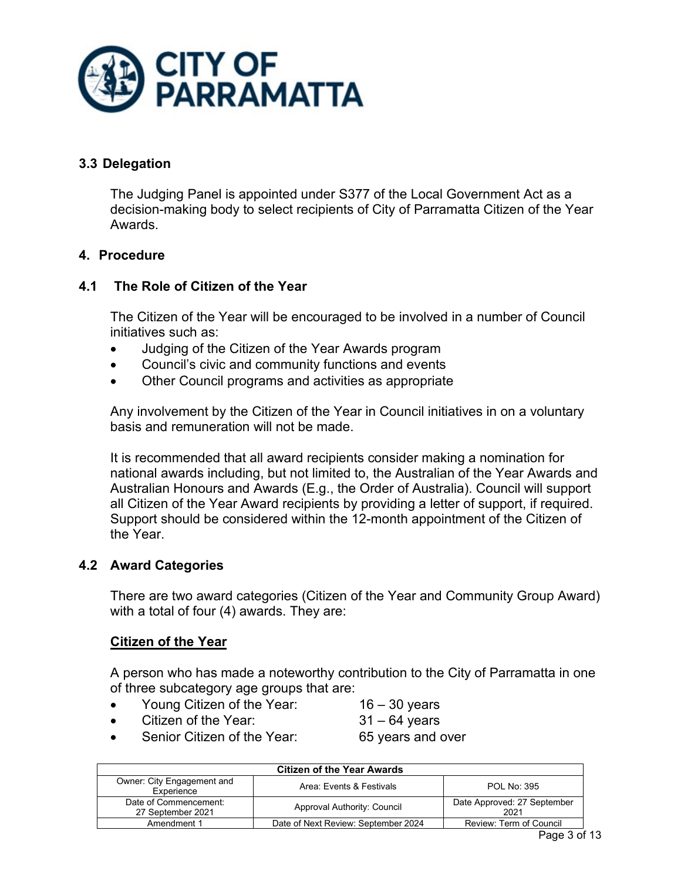

# <span id="page-2-0"></span>**3.3 Delegation**

The Judging Panel is appointed under S377 of the Local Government Act as a decision-making body to select recipients of City of Parramatta Citizen of the Year Awards.

## <span id="page-2-1"></span>**4. Procedure**

# <span id="page-2-2"></span>**4.1 The Role of Citizen of the Year**

The Citizen of the Year will be encouraged to be involved in a number of Council initiatives such as:

- Judging of the Citizen of the Year Awards program
- Council's civic and community functions and events
- Other Council programs and activities as appropriate

Any involvement by the Citizen of the Year in Council initiatives in on a voluntary basis and remuneration will not be made.

It is recommended that all award recipients consider making a nomination for national awards including, but not limited to, the Australian of the Year Awards and Australian Honours and Awards (E.g., the Order of Australia). Council will support all Citizen of the Year Award recipients by providing a letter of support, if required. Support should be considered within the 12-month appointment of the Citizen of the Year.

## <span id="page-2-3"></span>**4.2 Award Categories**

There are two award categories (Citizen of the Year and Community Group Award) with a total of four (4) awards. They are:

# **Citizen of the Year**

A person who has made a noteworthy contribution to the City of Parramatta in one of three subcategory age groups that are:

- Young Citizen of the Year: 16 30 years
- Citizen of the Year: 31 64 years
- 
- Senior Citizen of the Year: 65 years and over
- 

| <b>Citizen of the Year Awards</b>          |                                     |                                     |
|--------------------------------------------|-------------------------------------|-------------------------------------|
| Owner: City Engagement and<br>Experience   | Area: Events & Festivals            | <b>POL No: 395</b>                  |
| Date of Commencement:<br>27 September 2021 | Approval Authority: Council         | Date Approved: 27 September<br>2021 |
| Amendment 1                                | Date of Next Review: September 2024 | Review: Term of Council             |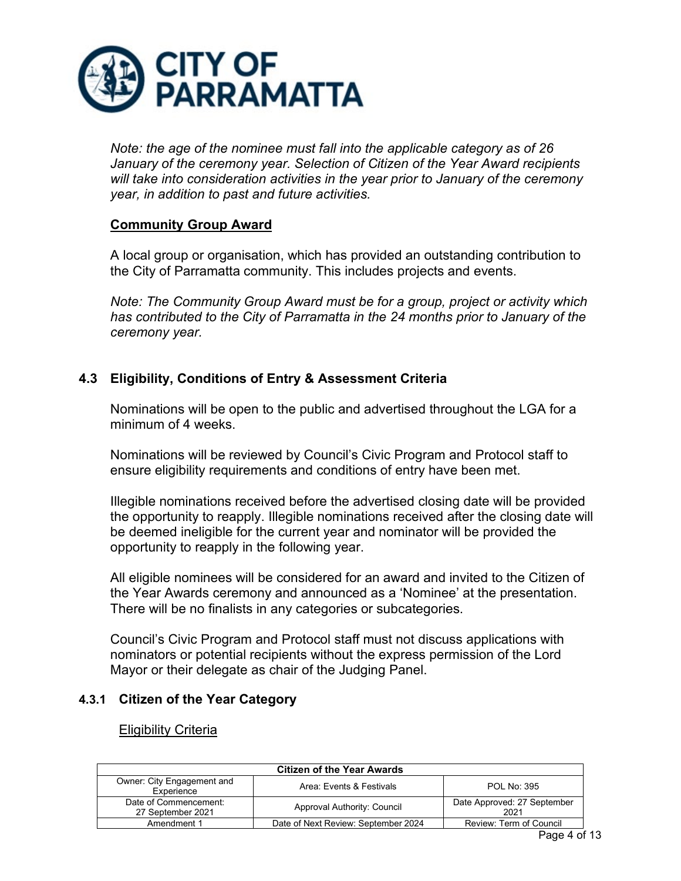

*Note: the age of the nominee must fall into the applicable category as of 26 January of the ceremony year. Selection of Citizen of the Year Award recipients will take into consideration activities in the year prior to January of the ceremony year, in addition to past and future activities.*

### **Community Group Award**

A local group or organisation, which has provided an outstanding contribution to the City of Parramatta community. This includes projects and events.

*Note: The Community Group Award must be for a group, project or activity which has contributed to the City of Parramatta in the 24 months prior to January of the ceremony year.*

# <span id="page-3-0"></span>**4.3 Eligibility, Conditions of Entry & Assessment Criteria**

Nominations will be open to the public and advertised throughout the LGA for a minimum of 4 weeks.

Nominations will be reviewed by Council's Civic Program and Protocol staff to ensure eligibility requirements and conditions of entry have been met.

Illegible nominations received before the advertised closing date will be provided the opportunity to reapply. Illegible nominations received after the closing date will be deemed ineligible for the current year and nominator will be provided the opportunity to reapply in the following year.

All eligible nominees will be considered for an award and invited to the Citizen of the Year Awards ceremony and announced as a 'Nominee' at the presentation. There will be no finalists in any categories or subcategories.

Council's Civic Program and Protocol staff must not discuss applications with nominators or potential recipients without the express permission of the Lord Mayor or their delegate as chair of the Judging Panel.

## <span id="page-3-1"></span>**4.3.1 Citizen of the Year Category**

#### Eligibility Criteria

| <b>Citizen of the Year Awards</b>          |                                     |                                     |
|--------------------------------------------|-------------------------------------|-------------------------------------|
| Owner: City Engagement and<br>Experience   | Area: Events & Festivals            | <b>POL No: 395</b>                  |
| Date of Commencement:<br>27 September 2021 | Approval Authority: Council         | Date Approved: 27 September<br>2021 |
| Amendment 1                                | Date of Next Review: September 2024 | Review: Term of Council             |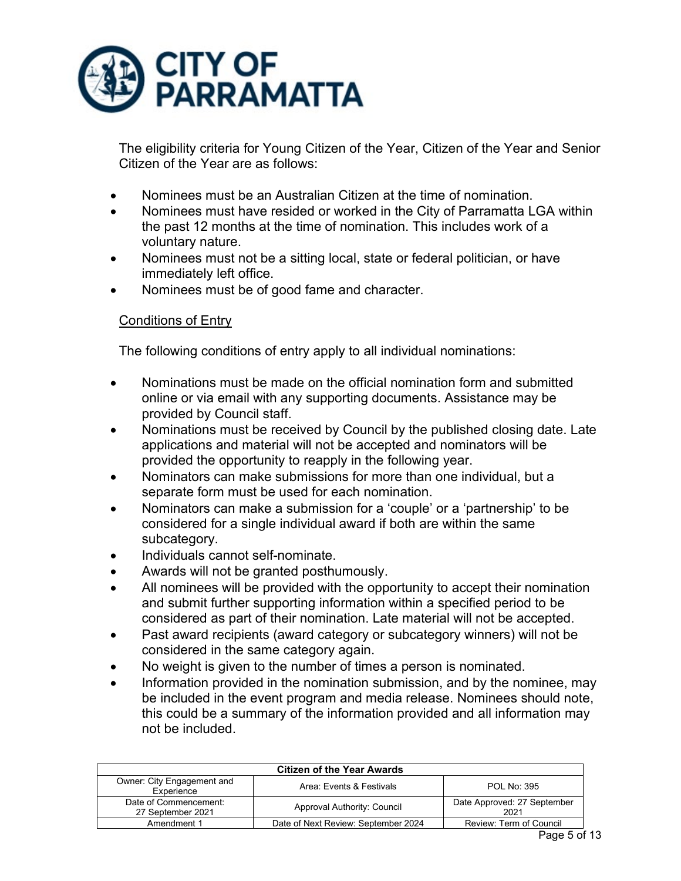

The eligibility criteria for Young Citizen of the Year, Citizen of the Year and Senior Citizen of the Year are as follows:

- Nominees must be an Australian Citizen at the time of nomination.
- Nominees must have resided or worked in the City of Parramatta LGA within the past 12 months at the time of nomination. This includes work of a voluntary nature.
- Nominees must not be a sitting local, state or federal politician, or have immediately left office.
- Nominees must be of good fame and character.

# Conditions of Entry

The following conditions of entry apply to all individual nominations:

- Nominations must be made on the official nomination form and submitted online or via email with any supporting documents. Assistance may be provided by Council staff.
- Nominations must be received by Council by the published closing date. Late applications and material will not be accepted and nominators will be provided the opportunity to reapply in the following year.
- Nominators can make submissions for more than one individual, but a separate form must be used for each nomination.
- Nominators can make a submission for a 'couple' or a 'partnership' to be considered for a single individual award if both are within the same subcategory.
- Individuals cannot self-nominate.
- Awards will not be granted posthumously.
- All nominees will be provided with the opportunity to accept their nomination and submit further supporting information within a specified period to be considered as part of their nomination. Late material will not be accepted.
- Past award recipients (award category or subcategory winners) will not be considered in the same category again.
- No weight is given to the number of times a person is nominated.
- Information provided in the nomination submission, and by the nominee, may be included in the event program and media release. Nominees should note, this could be a summary of the information provided and all information may not be included.

| <b>Citizen of the Year Awards</b>          |                                     |                                     |
|--------------------------------------------|-------------------------------------|-------------------------------------|
| Owner: City Engagement and<br>Experience   | Area: Events & Festivals            | POL No: 395                         |
| Date of Commencement:<br>27 September 2021 | Approval Authority: Council         | Date Approved: 27 September<br>2021 |
| Amendment 1                                | Date of Next Review: September 2024 | Review: Term of Council             |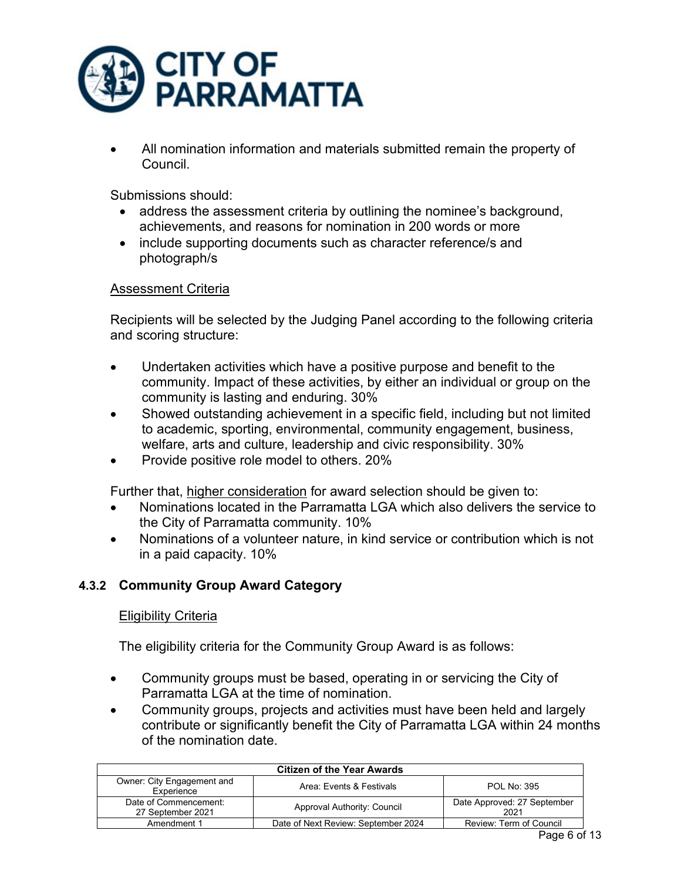

• All nomination information and materials submitted remain the property of Council.

Submissions should:

- address the assessment criteria by outlining the nominee's background, achievements, and reasons for nomination in 200 words or more
- include supporting documents such as character reference/s and photograph/s

# Assessment Criteria

Recipients will be selected by the Judging Panel according to the following criteria and scoring structure:

- Undertaken activities which have a positive purpose and benefit to the community. Impact of these activities, by either an individual or group on the community is lasting and enduring. 30%
- Showed outstanding achievement in a specific field, including but not limited to academic, sporting, environmental, community engagement, business, welfare, arts and culture, leadership and civic responsibility. 30%
- Provide positive role model to others. 20%

Further that, higher consideration for award selection should be given to:

- Nominations located in the Parramatta LGA which also delivers the service to the City of Parramatta community. 10%
- Nominations of a volunteer nature, in kind service or contribution which is not in a paid capacity. 10%

# <span id="page-5-0"></span>**4.3.2 Community Group Award Category**

#### Eligibility Criteria

The eligibility criteria for the Community Group Award is as follows:

- Community groups must be based, operating in or servicing the City of Parramatta LGA at the time of nomination.
- Community groups, projects and activities must have been held and largely contribute or significantly benefit the City of Parramatta LGA within 24 months of the nomination date.

| <b>Citizen of the Year Awards</b>          |                                     |                                     |
|--------------------------------------------|-------------------------------------|-------------------------------------|
| Owner: City Engagement and<br>Experience   | Area: Events & Festivals            | <b>POL No: 395</b>                  |
| Date of Commencement:<br>27 September 2021 | Approval Authority: Council         | Date Approved: 27 September<br>2021 |
| Amendment 1                                | Date of Next Review: September 2024 | Review: Term of Council             |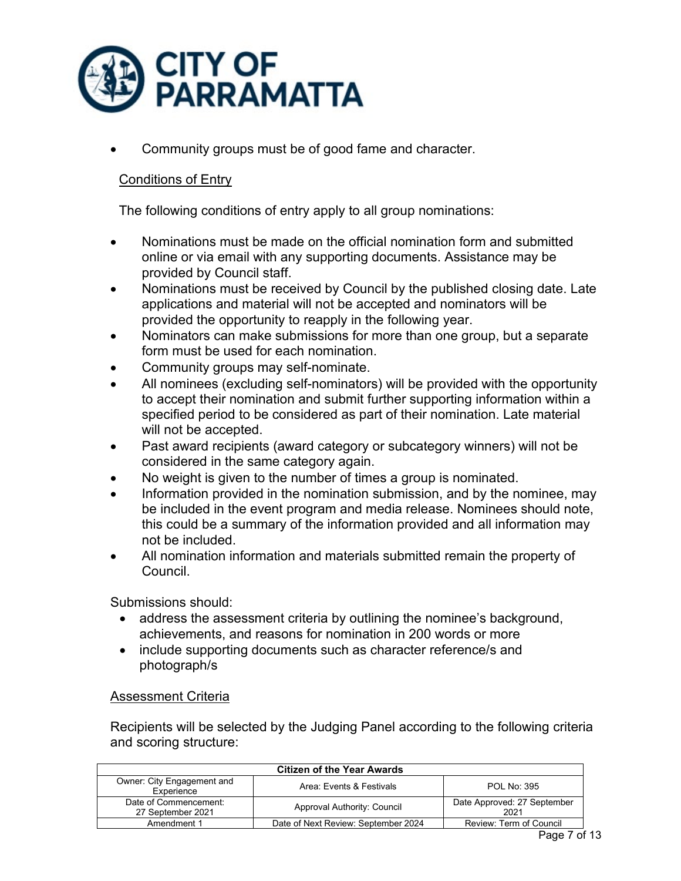

• Community groups must be of good fame and character.

# Conditions of Entry

The following conditions of entry apply to all group nominations:

- Nominations must be made on the official nomination form and submitted online or via email with any supporting documents. Assistance may be provided by Council staff.
- Nominations must be received by Council by the published closing date. Late applications and material will not be accepted and nominators will be provided the opportunity to reapply in the following year.
- Nominators can make submissions for more than one group, but a separate form must be used for each nomination.
- Community groups may self-nominate.
- All nominees (excluding self-nominators) will be provided with the opportunity to accept their nomination and submit further supporting information within a specified period to be considered as part of their nomination. Late material will not be accepted.
- Past award recipients (award category or subcategory winners) will not be considered in the same category again.
- No weight is given to the number of times a group is nominated.
- Information provided in the nomination submission, and by the nominee, may be included in the event program and media release. Nominees should note, this could be a summary of the information provided and all information may not be included.
- All nomination information and materials submitted remain the property of Council.

Submissions should:

- address the assessment criteria by outlining the nominee's background, achievements, and reasons for nomination in 200 words or more
- include supporting documents such as character reference/s and photograph/s

## Assessment Criteria

Recipients will be selected by the Judging Panel according to the following criteria and scoring structure:

| <b>Citizen of the Year Awards</b>          |                                     |                                     |
|--------------------------------------------|-------------------------------------|-------------------------------------|
| Owner: City Engagement and<br>Experience   | Area: Events & Festivals            | POL No: 395                         |
| Date of Commencement:<br>27 September 2021 | Approval Authority: Council         | Date Approved: 27 September<br>2021 |
| Amendment 1                                | Date of Next Review: September 2024 | Review: Term of Council             |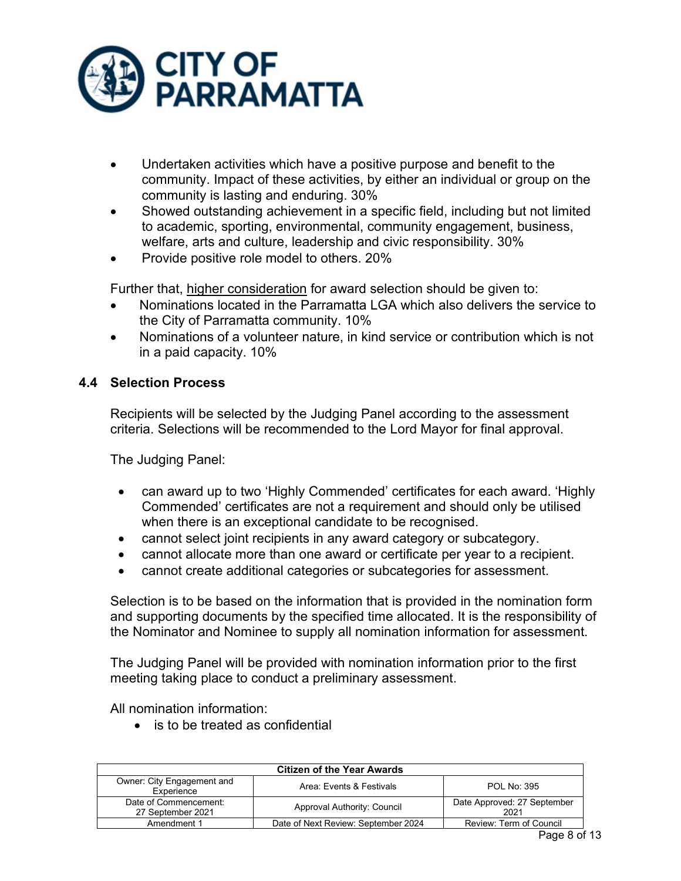

- Undertaken activities which have a positive purpose and benefit to the community. Impact of these activities, by either an individual or group on the community is lasting and enduring. 30%
- Showed outstanding achievement in a specific field, including but not limited to academic, sporting, environmental, community engagement, business, welfare, arts and culture, leadership and civic responsibility. 30%
- Provide positive role model to others. 20%

Further that, higher consideration for award selection should be given to:

- Nominations located in the Parramatta LGA which also delivers the service to the City of Parramatta community. 10%
- Nominations of a volunteer nature, in kind service or contribution which is not in a paid capacity. 10%

# <span id="page-7-0"></span>**4.4 Selection Process**

Recipients will be selected by the Judging Panel according to the assessment criteria. Selections will be recommended to the Lord Mayor for final approval.

The Judging Panel:

- can award up to two 'Highly Commended' certificates for each award. 'Highly Commended' certificates are not a requirement and should only be utilised when there is an exceptional candidate to be recognised.
- cannot select joint recipients in any award category or subcategory.
- cannot allocate more than one award or certificate per year to a recipient.
- cannot create additional categories or subcategories for assessment.

Selection is to be based on the information that is provided in the nomination form and supporting documents by the specified time allocated. It is the responsibility of the Nominator and Nominee to supply all nomination information for assessment.

The Judging Panel will be provided with nomination information prior to the first meeting taking place to conduct a preliminary assessment.

All nomination information:

• is to be treated as confidential

| <b>Citizen of the Year Awards</b>          |                                     |                                     |
|--------------------------------------------|-------------------------------------|-------------------------------------|
| Owner: City Engagement and<br>Experience   | Area: Events & Festivals            | <b>POL No: 395</b>                  |
| Date of Commencement:<br>27 September 2021 | Approval Authority: Council         | Date Approved: 27 September<br>2021 |
| Amendment 1                                | Date of Next Review: September 2024 | Review: Term of Council             |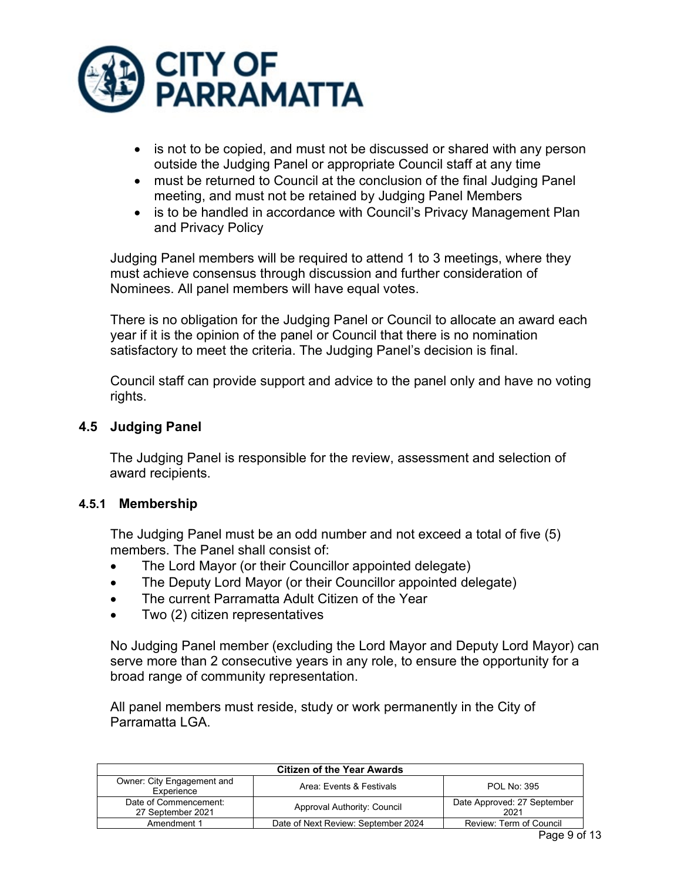

- is not to be copied, and must not be discussed or shared with any person outside the Judging Panel or appropriate Council staff at any time
- must be returned to Council at the conclusion of the final Judging Panel meeting, and must not be retained by Judging Panel Members
- is to be handled in accordance with Council's Privacy Management Plan and Privacy Policy

Judging Panel members will be required to attend 1 to 3 meetings, where they must achieve consensus through discussion and further consideration of Nominees. All panel members will have equal votes.

There is no obligation for the Judging Panel or Council to allocate an award each year if it is the opinion of the panel or Council that there is no nomination satisfactory to meet the criteria. The Judging Panel's decision is final.

Council staff can provide support and advice to the panel only and have no voting rights.

# <span id="page-8-0"></span>**4.5 Judging Panel**

The Judging Panel is responsible for the review, assessment and selection of award recipients.

## <span id="page-8-1"></span>**4.5.1 Membership**

The Judging Panel must be an odd number and not exceed a total of five (5) members. The Panel shall consist of:

- The Lord Mayor (or their Councillor appointed delegate)
- The Deputy Lord Mayor (or their Councillor appointed delegate)
- The current Parramatta Adult Citizen of the Year
- Two (2) citizen representatives

No Judging Panel member (excluding the Lord Mayor and Deputy Lord Mayor) can serve more than 2 consecutive years in any role, to ensure the opportunity for a broad range of community representation.

All panel members must reside, study or work permanently in the City of Parramatta LGA.

| <b>Citizen of the Year Awards</b>          |                                     |                                     |
|--------------------------------------------|-------------------------------------|-------------------------------------|
| Owner: City Engagement and<br>Experience   | Area: Events & Festivals            | POL No: 395                         |
| Date of Commencement:<br>27 September 2021 | Approval Authority: Council         | Date Approved: 27 September<br>2021 |
| Amendment 1                                | Date of Next Review: September 2024 | Review: Term of Council             |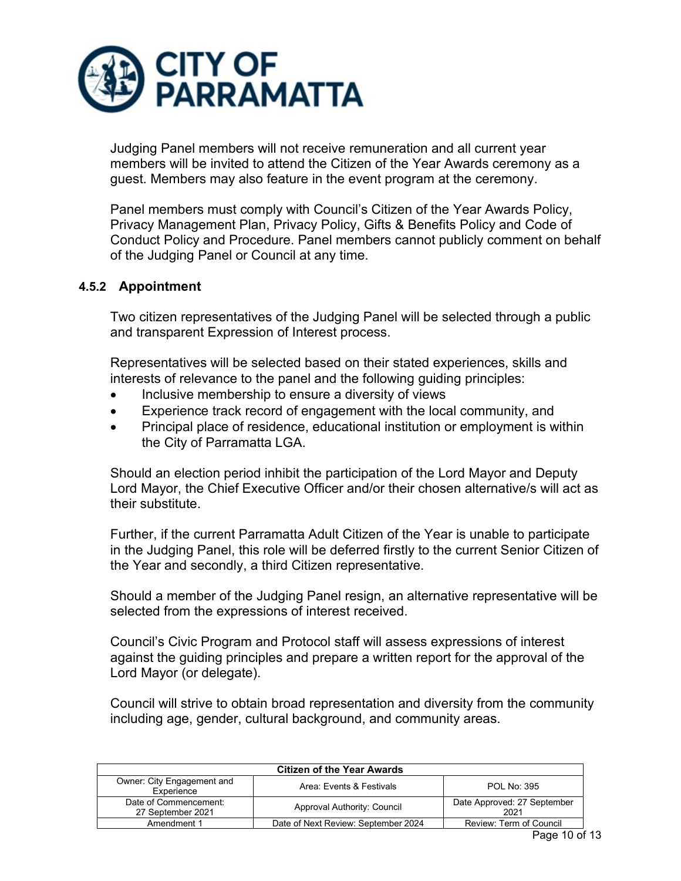

Judging Panel members will not receive remuneration and all current year members will be invited to attend the Citizen of the Year Awards ceremony as a guest. Members may also feature in the event program at the ceremony.

Panel members must comply with Council's Citizen of the Year Awards Policy, Privacy Management Plan, Privacy Policy, Gifts & Benefits Policy and Code of Conduct Policy and Procedure. Panel members cannot publicly comment on behalf of the Judging Panel or Council at any time.

## <span id="page-9-0"></span>**4.5.2 Appointment**

Two citizen representatives of the Judging Panel will be selected through a public and transparent Expression of Interest process.

Representatives will be selected based on their stated experiences, skills and interests of relevance to the panel and the following guiding principles:

- Inclusive membership to ensure a diversity of views
- Experience track record of engagement with the local community, and
- Principal place of residence, educational institution or employment is within the City of Parramatta LGA.

Should an election period inhibit the participation of the Lord Mayor and Deputy Lord Mayor, the Chief Executive Officer and/or their chosen alternative/s will act as their substitute.

Further, if the current Parramatta Adult Citizen of the Year is unable to participate in the Judging Panel, this role will be deferred firstly to the current Senior Citizen of the Year and secondly, a third Citizen representative.

Should a member of the Judging Panel resign, an alternative representative will be selected from the expressions of interest received.

Council's Civic Program and Protocol staff will assess expressions of interest against the guiding principles and prepare a written report for the approval of the Lord Mayor (or delegate).

Council will strive to obtain broad representation and diversity from the community including age, gender, cultural background, and community areas.

| <b>Citizen of the Year Awards</b>          |                                     |                                     |
|--------------------------------------------|-------------------------------------|-------------------------------------|
| Owner: City Engagement and<br>Experience   | Area: Events & Festivals            | <b>POL No: 395</b>                  |
| Date of Commencement:<br>27 September 2021 | Approval Authority: Council         | Date Approved: 27 September<br>2021 |
| Amendment 1                                | Date of Next Review: September 2024 | Review: Term of Council             |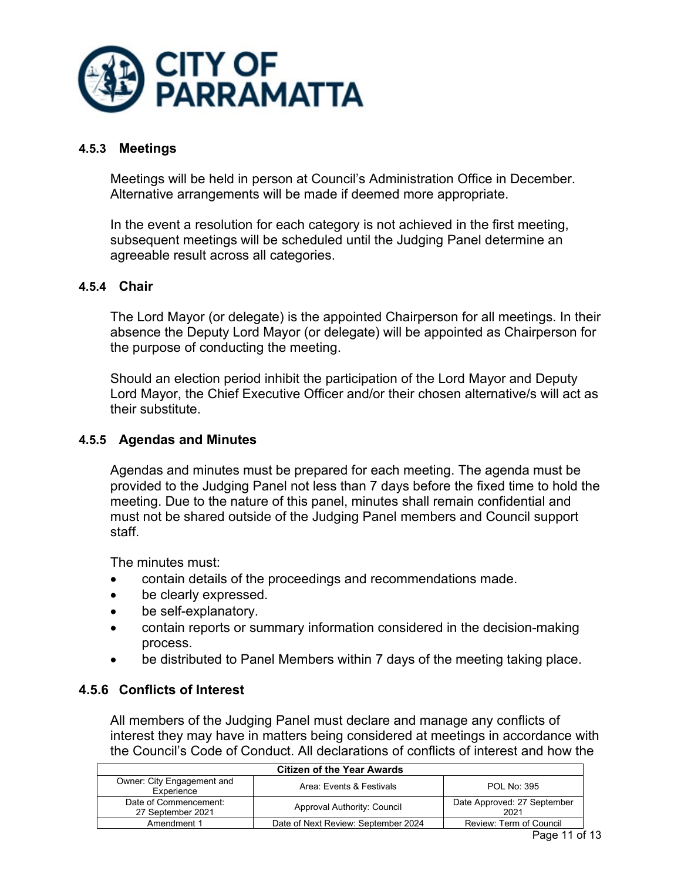

# <span id="page-10-0"></span>**4.5.3 Meetings**

Meetings will be held in person at Council's Administration Office in December. Alternative arrangements will be made if deemed more appropriate.

In the event a resolution for each category is not achieved in the first meeting, subsequent meetings will be scheduled until the Judging Panel determine an agreeable result across all categories.

### <span id="page-10-1"></span>**4.5.4 Chair**

The Lord Mayor (or delegate) is the appointed Chairperson for all meetings. In their absence the Deputy Lord Mayor (or delegate) will be appointed as Chairperson for the purpose of conducting the meeting.

Should an election period inhibit the participation of the Lord Mayor and Deputy Lord Mayor, the Chief Executive Officer and/or their chosen alternative/s will act as their substitute.

### <span id="page-10-2"></span>**4.5.5 Agendas and Minutes**

Agendas and minutes must be prepared for each meeting. The agenda must be provided to the Judging Panel not less than 7 days before the fixed time to hold the meeting. Due to the nature of this panel, minutes shall remain confidential and must not be shared outside of the Judging Panel members and Council support staff.

The minutes must:

- contain details of the proceedings and recommendations made.
- be clearly expressed.
- be self-explanatory.
- contain reports or summary information considered in the decision-making process.
- be distributed to Panel Members within 7 days of the meeting taking place.

#### <span id="page-10-3"></span>**4.5.6 Conflicts of Interest**

All members of the Judging Panel must declare and manage any conflicts of interest they may have in matters being considered at meetings in accordance with the Council's Code of Conduct. All declarations of conflicts of interest and how the

| <b>Citizen of the Year Awards</b>          |                                     |                                     |
|--------------------------------------------|-------------------------------------|-------------------------------------|
| Owner: City Engagement and<br>Experience   | Area: Events & Festivals            | <b>POL No: 395</b>                  |
| Date of Commencement:<br>27 September 2021 | Approval Authority: Council         | Date Approved: 27 September<br>2021 |
| Amendment 1                                | Date of Next Review: September 2024 | Review: Term of Council             |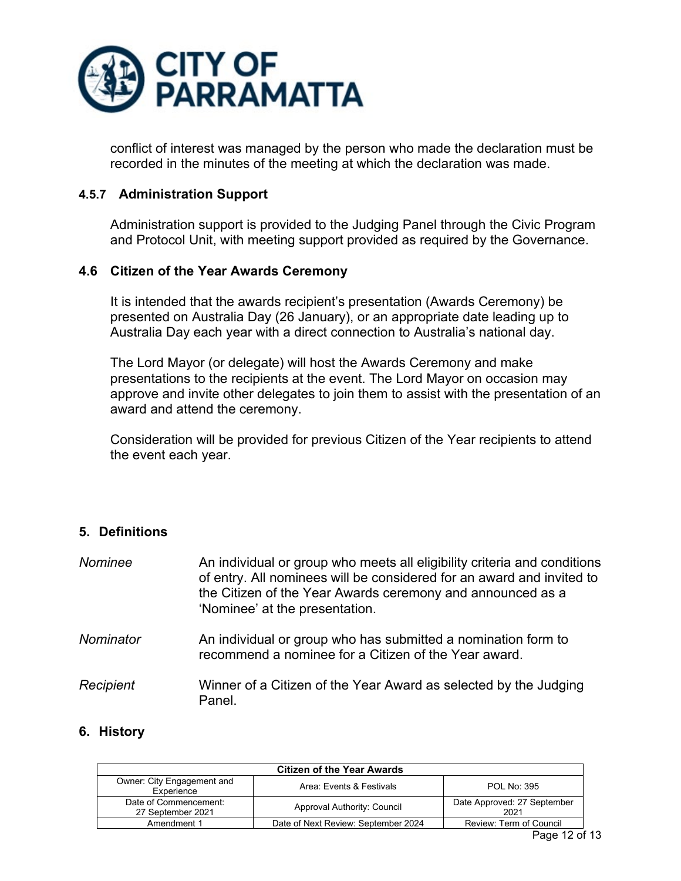

conflict of interest was managed by the person who made the declaration must be recorded in the minutes of the meeting at which the declaration was made.

### <span id="page-11-0"></span>**4.5.7 Administration Support**

Administration support is provided to the Judging Panel through the Civic Program and Protocol Unit, with meeting support provided as required by the Governance.

### <span id="page-11-1"></span>**4.6 Citizen of the Year Awards Ceremony**

It is intended that the awards recipient's presentation (Awards Ceremony) be presented on Australia Day (26 January), or an appropriate date leading up to Australia Day each year with a direct connection to Australia's national day.

The Lord Mayor (or delegate) will host the Awards Ceremony and make presentations to the recipients at the event. The Lord Mayor on occasion may approve and invite other delegates to join them to assist with the presentation of an award and attend the ceremony.

Consideration will be provided for previous Citizen of the Year recipients to attend the event each year.

## <span id="page-11-2"></span>**5. Definitions**

| Nominee          | An individual or group who meets all eligibility criteria and conditions<br>of entry. All nominees will be considered for an award and invited to<br>the Citizen of the Year Awards ceremony and announced as a<br>'Nominee' at the presentation. |
|------------------|---------------------------------------------------------------------------------------------------------------------------------------------------------------------------------------------------------------------------------------------------|
| Nominator        | An individual or group who has submitted a nomination form to<br>recommend a nominee for a Citizen of the Year award.                                                                                                                             |
| <b>Recipient</b> | Winner of a Citizen of the Year Award as selected by the Judging<br>Panel.                                                                                                                                                                        |

#### <span id="page-11-3"></span>**6. History**

| <b>Citizen of the Year Awards</b>          |                                     |                                     |  |  |  |
|--------------------------------------------|-------------------------------------|-------------------------------------|--|--|--|
| Owner: City Engagement and<br>Experience   | Area: Events & Festivals            | POL No: 395                         |  |  |  |
| Date of Commencement:<br>27 September 2021 | Approval Authority: Council         | Date Approved: 27 September<br>2021 |  |  |  |
| Amendment 1                                | Date of Next Review: September 2024 | Review: Term of Council             |  |  |  |